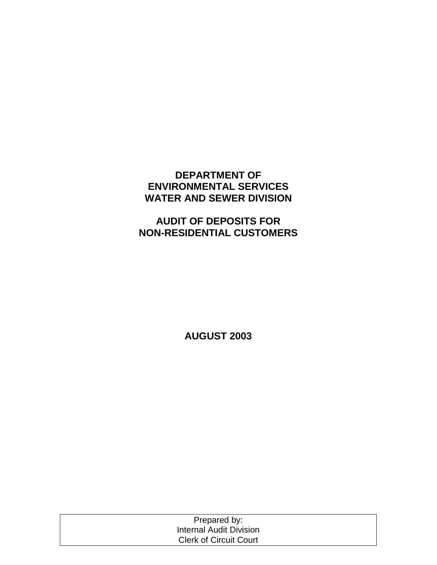# **DEPARTMENT OF ENVIRONMENTAL SERVICES WATER AND SEWER DIVISION**

# **AUDIT OF DEPOSITS FOR NON-RESIDENTIAL CUSTOMERS**

**AUGUST 2003** 

| Prepared by:                  |  |
|-------------------------------|--|
| Internal Audit Division       |  |
| <b>Clerk of Circuit Court</b> |  |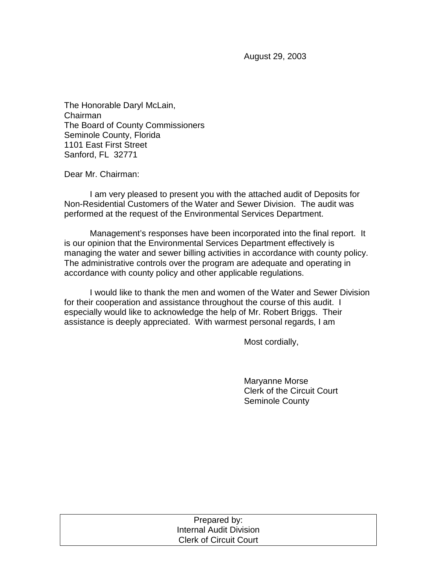August 29, 2003

The Honorable Daryl McLain, Chairman The Board of County Commissioners Seminole County, Florida 1101 East First Street Sanford, FL 32771

Dear Mr. Chairman:

 I am very pleased to present you with the attached audit of Deposits for Non-Residential Customers of the Water and Sewer Division. The audit was performed at the request of the Environmental Services Department.

 Management's responses have been incorporated into the final report. It is our opinion that the Environmental Services Department effectively is managing the water and sewer billing activities in accordance with county policy. The administrative controls over the program are adequate and operating in accordance with county policy and other applicable regulations.

I would like to thank the men and women of the Water and Sewer Division for their cooperation and assistance throughout the course of this audit. I especially would like to acknowledge the help of Mr. Robert Briggs. Their assistance is deeply appreciated. With warmest personal regards, I am

Most cordially,

 Maryanne Morse Clerk of the Circuit Court Seminole County

| Prepared by:                   |  |
|--------------------------------|--|
| <b>Internal Audit Division</b> |  |
| <b>Clerk of Circuit Court</b>  |  |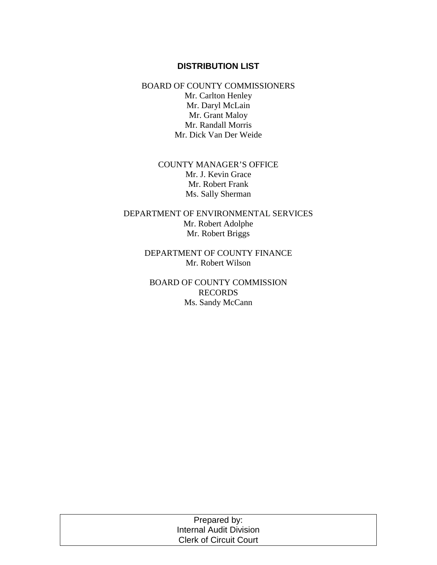## **DISTRIBUTION LIST**

BOARD OF COUNTY COMMISSIONERS Mr. Carlton Henley Mr. Daryl McLain Mr. Grant Maloy Mr. Randall Morris Mr. Dick Van Der Weide

## COUNTY MANAGER'S OFFICE Mr. J. Kevin Grace Mr. Robert Frank Ms. Sally Sherman

DEPARTMENT OF ENVIRONMENTAL SERVICES Mr. Robert Adolphe Mr. Robert Briggs

> DEPARTMENT OF COUNTY FINANCE Mr. Robert Wilson

BOARD OF COUNTY COMMISSION RECORDS Ms. Sandy McCann

| Prepared by:                   |  |
|--------------------------------|--|
| <b>Internal Audit Division</b> |  |
| <b>Clerk of Circuit Court</b>  |  |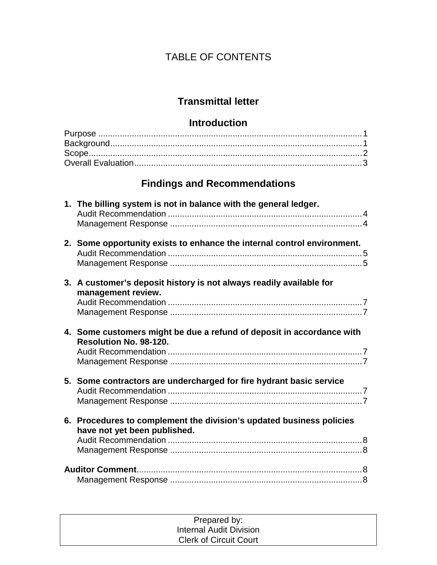# TABLE OF CONTENTS

# **Transmittal letter**

# **Introduction**

# **Findings and Recommendations**

| 1. The billing system is not in balance with the general ledger.                                     |
|------------------------------------------------------------------------------------------------------|
| 2. Some opportunity exists to enhance the internal control environment.                              |
| 3. A customer's deposit history is not always readily available for<br>management review.            |
| 4. Some customers might be due a refund of deposit in accordance with<br>Resolution No. 98-120.      |
| 5. Some contractors are undercharged for fire hydrant basic service                                  |
| 6. Procedures to complement the division's updated business policies<br>have not yet been published. |
|                                                                                                      |

| Prepared by:                  |  |
|-------------------------------|--|
| Internal Audit Division       |  |
| <b>Clerk of Circuit Court</b> |  |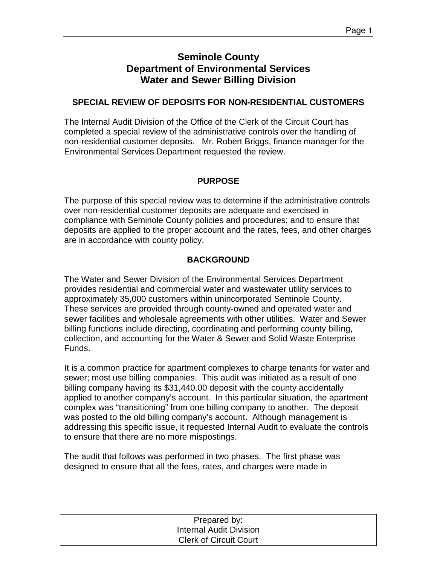# **Seminole County Department of Environmental Services Water and Sewer Billing Division**

# **SPECIAL REVIEW OF DEPOSITS FOR NON-RESIDENTIAL CUSTOMERS**

The Internal Audit Division of the Office of the Clerk of the Circuit Court has completed a special review of the administrative controls over the handling of non-residential customer deposits. Mr. Robert Briggs, finance manager for the Environmental Services Department requested the review.

# **PURPOSE**

The purpose of this special review was to determine if the administrative controls over non-residential customer deposits are adequate and exercised in compliance with Seminole County policies and procedures; and to ensure that deposits are applied to the proper account and the rates, fees, and other charges are in accordance with county policy.

# **BACKGROUND**

The Water and Sewer Division of the Environmental Services Department provides residential and commercial water and wastewater utility services to approximately 35,000 customers within unincorporated Seminole County. These services are provided through county-owned and operated water and sewer facilities and wholesale agreements with other utilities. Water and Sewer billing functions include directing, coordinating and performing county billing, collection, and accounting for the Water & Sewer and Solid Waste Enterprise Funds.

It is a common practice for apartment complexes to charge tenants for water and sewer; most use billing companies. This audit was initiated as a result of one billing company having its \$31,440.00 deposit with the county accidentally applied to another company's account. In this particular situation, the apartment complex was "transitioning" from one billing company to another. The deposit was posted to the old billing company's account. Although management is addressing this specific issue, it requested Internal Audit to evaluate the controls to ensure that there are no more mispostings.

The audit that follows was performed in two phases. The first phase was designed to ensure that all the fees, rates, and charges were made in

| Prepared by:                   |  |
|--------------------------------|--|
| <b>Internal Audit Division</b> |  |
| <b>Clerk of Circuit Court</b>  |  |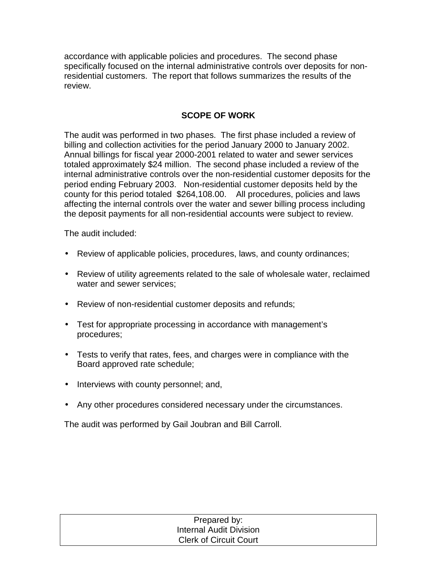accordance with applicable policies and procedures. The second phase specifically focused on the internal administrative controls over deposits for nonresidential customers. The report that follows summarizes the results of the review.

# **SCOPE OF WORK**

The audit was performed in two phases. The first phase included a review of billing and collection activities for the period January 2000 to January 2002. Annual billings for fiscal year 2000-2001 related to water and sewer services totaled approximately \$24 million. The second phase included a review of the internal administrative controls over the non-residential customer deposits for the period ending February 2003. Non-residential customer deposits held by the county for this period totaled \$264,108.00. All procedures, policies and laws affecting the internal controls over the water and sewer billing process including the deposit payments for all non-residential accounts were subject to review.

The audit included:

- Review of applicable policies, procedures, laws, and county ordinances;
- Review of utility agreements related to the sale of wholesale water, reclaimed water and sewer services;
- Review of non-residential customer deposits and refunds;
- Test for appropriate processing in accordance with management's procedures;
- Tests to verify that rates, fees, and charges were in compliance with the Board approved rate schedule;
- Interviews with county personnel; and,
- Any other procedures considered necessary under the circumstances.

The audit was performed by Gail Joubran and Bill Carroll.

| Prepared by:                   |  |
|--------------------------------|--|
| <b>Internal Audit Division</b> |  |
| <b>Clerk of Circuit Court</b>  |  |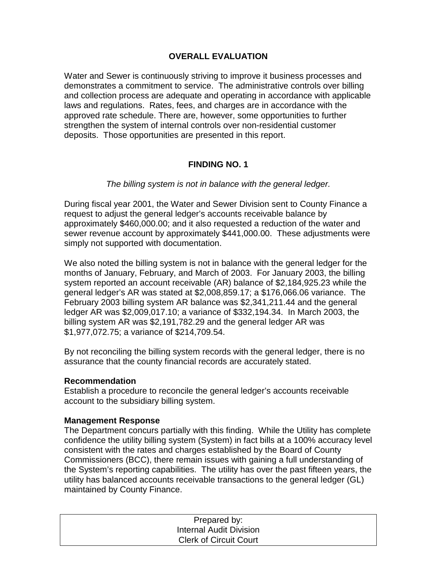# **OVERALL EVALUATION**

Water and Sewer is continuously striving to improve it business processes and demonstrates a commitment to service. The administrative controls over billing and collection process are adequate and operating in accordance with applicable laws and regulations. Rates, fees, and charges are in accordance with the approved rate schedule. There are, however, some opportunities to further strengthen the system of internal controls over non-residential customer deposits. Those opportunities are presented in this report.

# **FINDING NO. 1**

#### *The billing system is not in balance with the general ledger.*

During fiscal year 2001, the Water and Sewer Division sent to County Finance a request to adjust the general ledger's accounts receivable balance by approximately \$460,000.00; and it also requested a reduction of the water and sewer revenue account by approximately \$441,000.00. These adjustments were simply not supported with documentation.

We also noted the billing system is not in balance with the general ledger for the months of January, February, and March of 2003. For January 2003, the billing system reported an account receivable (AR) balance of \$2,184,925.23 while the general ledger's AR was stated at \$2,008,859.17; a \$176,066.06 variance. The February 2003 billing system AR balance was \$2,341,211.44 and the general ledger AR was \$2,009,017.10; a variance of \$332,194.34. In March 2003, the billing system AR was \$2,191,782.29 and the general ledger AR was \$1,977,072.75; a variance of \$214,709.54.

By not reconciling the billing system records with the general ledger, there is no assurance that the county financial records are accurately stated.

#### **Recommendation**

Establish a procedure to reconcile the general ledger's accounts receivable account to the subsidiary billing system.

#### **Management Response**

The Department concurs partially with this finding. While the Utility has complete confidence the utility billing system (System) in fact bills at a 100% accuracy level consistent with the rates and charges established by the Board of County Commissioners (BCC), there remain issues with gaining a full understanding of the System's reporting capabilities. The utility has over the past fifteen years, the utility has balanced accounts receivable transactions to the general ledger (GL) maintained by County Finance.

| Prepared by:                   |  |
|--------------------------------|--|
| <b>Internal Audit Division</b> |  |
| <b>Clerk of Circuit Court</b>  |  |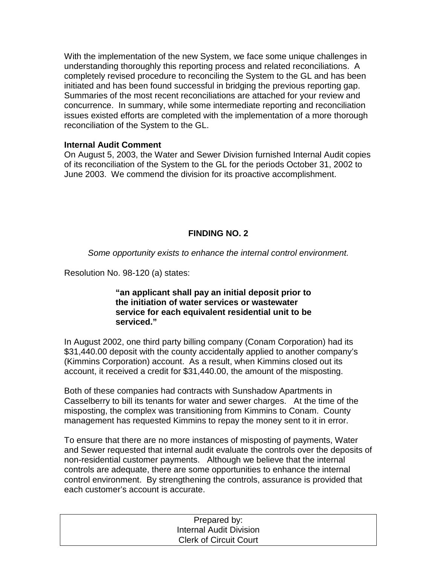With the implementation of the new System, we face some unique challenges in understanding thoroughly this reporting process and related reconciliations. A completely revised procedure to reconciling the System to the GL and has been initiated and has been found successful in bridging the previous reporting gap. Summaries of the most recent reconciliations are attached for your review and concurrence. In summary, while some intermediate reporting and reconciliation issues existed efforts are completed with the implementation of a more thorough reconciliation of the System to the GL.

### **Internal Audit Comment**

On August 5, 2003, the Water and Sewer Division furnished Internal Audit copies of its reconciliation of the System to the GL for the periods October 31, 2002 to June 2003. We commend the division for its proactive accomplishment.

# **FINDING NO. 2**

*Some opportunity exists to enhance the internal control environment.* 

Resolution No. 98-120 (a) states:

#### **"an applicant shall pay an initial deposit prior to the initiation of water services or wastewater service for each equivalent residential unit to be serviced."**

In August 2002, one third party billing company (Conam Corporation) had its \$31,440.00 deposit with the county accidentally applied to another company's (Kimmins Corporation) account. As a result, when Kimmins closed out its account, it received a credit for \$31,440.00, the amount of the misposting.

Both of these companies had contracts with Sunshadow Apartments in Casselberry to bill its tenants for water and sewer charges. At the time of the misposting, the complex was transitioning from Kimmins to Conam. County management has requested Kimmins to repay the money sent to it in error.

To ensure that there are no more instances of misposting of payments, Water and Sewer requested that internal audit evaluate the controls over the deposits of non-residential customer payments. Although we believe that the internal controls are adequate, there are some opportunities to enhance the internal control environment. By strengthening the controls, assurance is provided that each customer's account is accurate.

| Prepared by:                  |  |
|-------------------------------|--|
| Internal Audit Division       |  |
| <b>Clerk of Circuit Court</b> |  |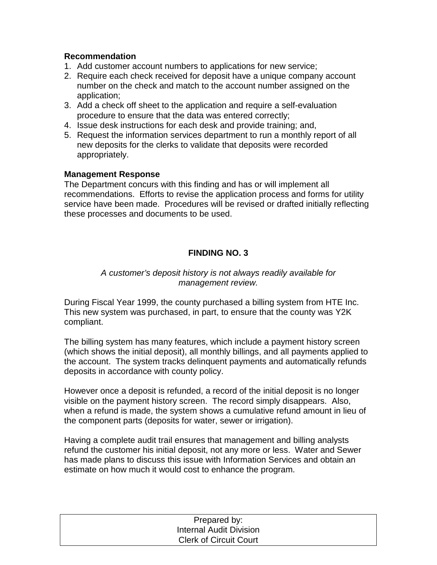# **Recommendation**

- 1. Add customer account numbers to applications for new service;
- 2. Require each check received for deposit have a unique company account number on the check and match to the account number assigned on the application;
- 3. Add a check off sheet to the application and require a self-evaluation procedure to ensure that the data was entered correctly;
- 4. Issue desk instructions for each desk and provide training; and,
- 5. Request the information services department to run a monthly report of all new deposits for the clerks to validate that deposits were recorded appropriately.

# **Management Response**

The Department concurs with this finding and has or will implement all recommendations. Efforts to revise the application process and forms for utility service have been made. Procedures will be revised or drafted initially reflecting these processes and documents to be used.

# **FINDING NO. 3**

# *A customer's deposit history is not always readily available for management review.*

During Fiscal Year 1999, the county purchased a billing system from HTE Inc. This new system was purchased, in part, to ensure that the county was Y2K compliant.

The billing system has many features, which include a payment history screen (which shows the initial deposit), all monthly billings, and all payments applied to the account. The system tracks delinquent payments and automatically refunds deposits in accordance with county policy.

However once a deposit is refunded, a record of the initial deposit is no longer visible on the payment history screen. The record simply disappears. Also, when a refund is made, the system shows a cumulative refund amount in lieu of the component parts (deposits for water, sewer or irrigation).

Having a complete audit trail ensures that management and billing analysts refund the customer his initial deposit, not any more or less. Water and Sewer has made plans to discuss this issue with Information Services and obtain an estimate on how much it would cost to enhance the program.

| Prepared by:                  |  |
|-------------------------------|--|
| Internal Audit Division       |  |
| <b>Clerk of Circuit Court</b> |  |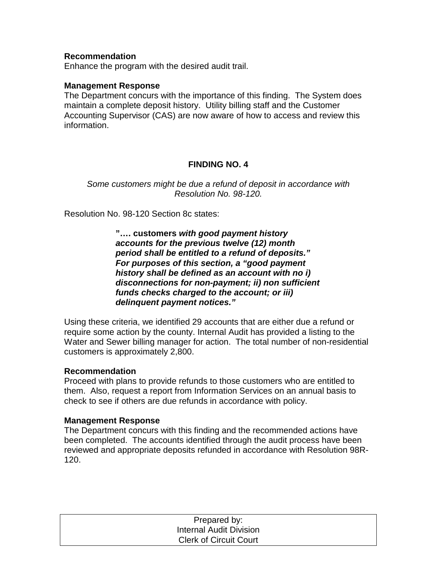#### **Recommendation**

Enhance the program with the desired audit trail.

#### **Management Response**

The Department concurs with the importance of this finding. The System does maintain a complete deposit history. Utility billing staff and the Customer Accounting Supervisor (CAS) are now aware of how to access and review this information.

## **FINDING NO. 4**

*Some customers might be due a refund of deposit in accordance with Resolution No. 98-120.* 

Resolution No. 98-120 Section 8c states:

**"…. customers** *with good payment history accounts for the previous twelve (12) month period shall be entitled to a refund of deposits." For purposes of this section, a "good payment history shall be defined as an account with no i) disconnections for non-payment; ii) non sufficient funds checks charged to the account; or iii) delinquent payment notices."* 

Using these criteria, we identified 29 accounts that are either due a refund or require some action by the county. Internal Audit has provided a listing to the Water and Sewer billing manager for action. The total number of non-residential customers is approximately 2,800.

#### **Recommendation**

Proceed with plans to provide refunds to those customers who are entitled to them. Also, request a report from Information Services on an annual basis to check to see if others are due refunds in accordance with policy.

#### **Management Response**

The Department concurs with this finding and the recommended actions have been completed. The accounts identified through the audit process have been reviewed and appropriate deposits refunded in accordance with Resolution 98R-120.

| Prepared by:                   |  |
|--------------------------------|--|
| <b>Internal Audit Division</b> |  |
| <b>Clerk of Circuit Court</b>  |  |
|                                |  |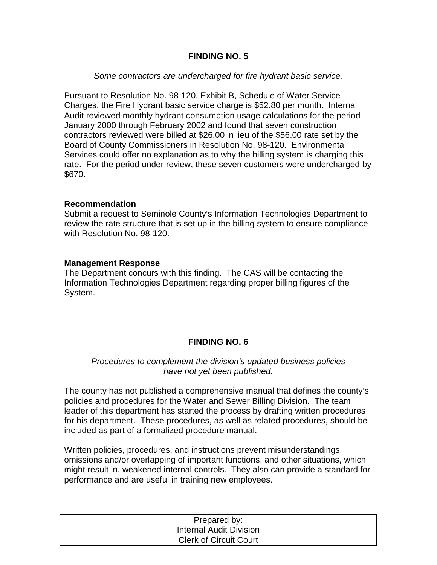# **FINDING NO. 5**

## *Some contractors are undercharged for fire hydrant basic service.*

Pursuant to Resolution No. 98-120, Exhibit B, Schedule of Water Service Charges, the Fire Hydrant basic service charge is \$52.80 per month. Internal Audit reviewed monthly hydrant consumption usage calculations for the period January 2000 through February 2002 and found that seven construction contractors reviewed were billed at \$26.00 in lieu of the \$56.00 rate set by the Board of County Commissioners in Resolution No. 98-120. Environmental Services could offer no explanation as to why the billing system is charging this rate. For the period under review, these seven customers were undercharged by \$670.

#### **Recommendation**

Submit a request to Seminole County's Information Technologies Department to review the rate structure that is set up in the billing system to ensure compliance with Resolution No. 98-120.

#### **Management Response**

The Department concurs with this finding. The CAS will be contacting the Information Technologies Department regarding proper billing figures of the System.

# **FINDING NO. 6**

## *Procedures to complement the division's updated business policies have not yet been published.*

The county has not published a comprehensive manual that defines the county's policies and procedures for the Water and Sewer Billing Division. The team leader of this department has started the process by drafting written procedures for his department. These procedures, as well as related procedures, should be included as part of a formalized procedure manual.

Written policies, procedures, and instructions prevent misunderstandings, omissions and/or overlapping of important functions, and other situations, which might result in, weakened internal controls. They also can provide a standard for performance and are useful in training new employees.

| Prepared by:                  |  |
|-------------------------------|--|
| Internal Audit Division       |  |
| <b>Clerk of Circuit Court</b> |  |